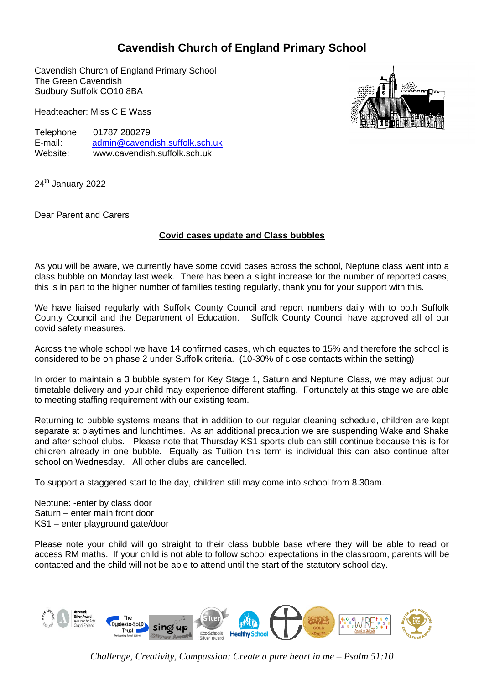## **Cavendish Church of England Primary School**

Cavendish Church of England Primary School The Green Cavendish Sudbury Suffolk CO10 8BA

Headteacher: Miss C E Wass

Telephone: 01787 280279<br>F-mail: admin@caveno [admin@cavendish.suffolk.sch.uk](mailto:ad.cavendish.p@talk21.com) Website: www.cavendish.suffolk.sch.uk

24<sup>th</sup> January 2022

Dear Parent and Carers

## **Covid cases update and Class bubbles**

As you will be aware, we currently have some covid cases across the school, Neptune class went into a class bubble on Monday last week. There has been a slight increase for the number of reported cases, this is in part to the higher number of families testing regularly, thank you for your support with this.

We have liaised regularly with Suffolk County Council and report numbers daily with to both Suffolk County Council and the Department of Education. Suffolk County Council have approved all of our covid safety measures.

Across the whole school we have 14 confirmed cases, which equates to 15% and therefore the school is considered to be on phase 2 under Suffolk criteria. (10-30% of close contacts within the setting)

In order to maintain a 3 bubble system for Key Stage 1, Saturn and Neptune Class, we may adjust our timetable delivery and your child may experience different staffing. Fortunately at this stage we are able to meeting staffing requirement with our existing team.

Returning to bubble systems means that in addition to our regular cleaning schedule, children are kept separate at playtimes and lunchtimes. As an additional precaution we are suspending Wake and Shake and after school clubs. Please note that Thursday KS1 sports club can still continue because this is for children already in one bubble. Equally as Tuition this term is individual this can also continue after school on Wednesday. All other clubs are cancelled.

To support a staggered start to the day, children still may come into school from 8.30am.

Neptune: -enter by class door Saturn – enter main front door KS1 – enter playground gate/door

Please note your child will go straight to their class bubble base where they will be able to read or access RM maths. If your child is not able to follow school expectations in the classroom, parents will be contacted and the child will not be able to attend until the start of the statutory school day.



*Challenge, Creativity, Compassion: Create a pure heart in me – Psalm 51:10*